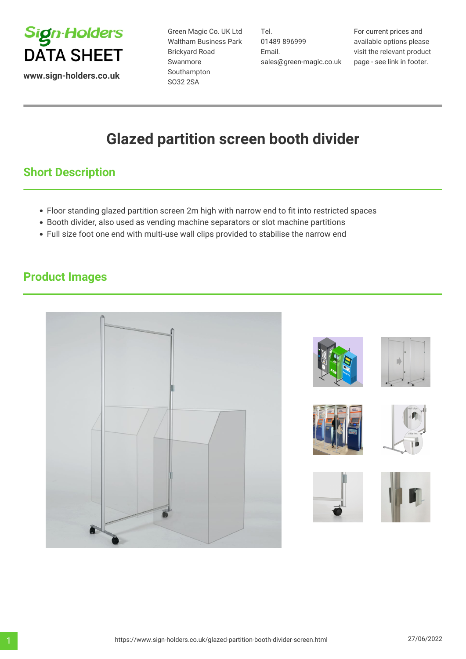

**www.sign-holders.co.uk**

Green Magic Co. UK Ltd Waltham Business Park Brickyard Road Swanmore Southampton SO32 2SA

Tel. 01489 896999 Email. sales@green-magic.co.uk

For current prices and available options please visit the relevant product page - see link in footer.

# **Glazed partition screen booth divider**

## **Short Description**

- Floor standing glazed partition screen 2m high with narrow end to fit into restricted spaces
- Booth divider, also used as vending machine separators or slot machine partitions
- Full size foot one end with multi-use wall clips provided to stabilise the narrow end

## **Product Images**

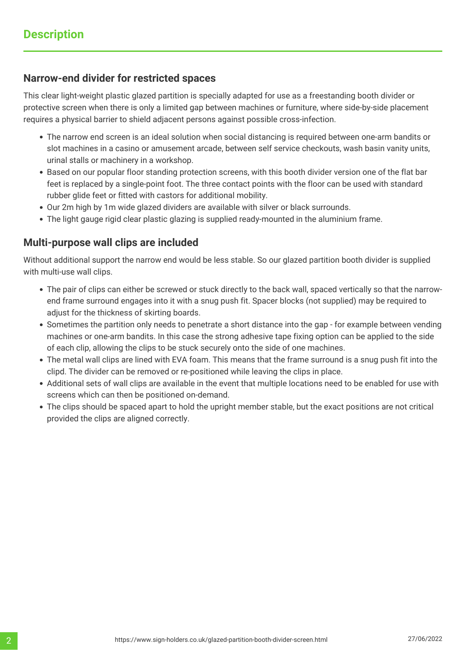### **Narrow-end divider for restricted spaces**

This clear light-weight plastic glazed partition is specially adapted for use as a freestanding booth divider or protective screen when there is only a limited gap between machines or furniture, where side-by-side placement requires a physical barrier to shield adjacent persons against possible cross-infection.

- The narrow end screen is an ideal solution when social distancing is required between one-arm bandits or slot machines in a casino or amusement arcade, between self service checkouts, wash basin vanity units, urinal stalls or machinery in a workshop.
- Based on our popular floor standing protection screens, with this booth divider version one of the flat bar feet is replaced by a single-point foot. The three contact points with the floor can be used with standard rubber glide feet or fitted with castors for additional mobility.
- Our 2m high by 1m wide glazed dividers are available with silver or black surrounds.
- The light gauge rigid clear plastic glazing is supplied ready-mounted in the aluminium frame.

#### **Multi-purpose wall clips are included**

Without additional support the narrow end would be less stable. So our glazed partition booth divider is supplied with multi-use wall clips.

- The pair of clips can either be screwed or stuck directly to the back wall, spaced vertically so that the narrowend frame surround engages into it with a snug push fit. Spacer blocks (not supplied) may be required to adjust for the thickness of skirting boards.
- Sometimes the partition only needs to penetrate a short distance into the gap for example between vending machines or one-arm bandits. In this case the strong adhesive tape fixing option can be applied to the side of each clip, allowing the clips to be stuck securely onto the side of one machines.
- The metal wall clips are lined with EVA foam. This means that the frame surround is a snug push fit into the clipd. The divider can be removed or re-positioned while leaving the clips in place.
- Additional sets of wall clips are available in the event that multiple locations need to be enabled for use with screens which can then be positioned on-demand.
- The clips should be spaced apart to hold the upright member stable, but the exact positions are not critical provided the clips are aligned correctly.